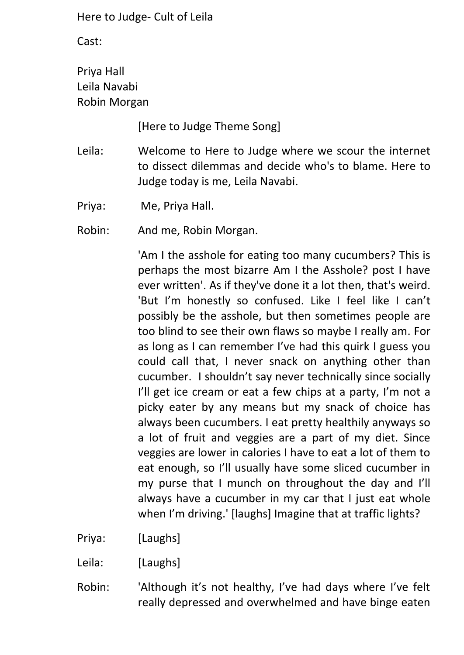Cast:

Priya Hall Leila Navabi Robin Morgan

[Here to Judge Theme Song]

Leila: Welcome to Here to Judge where we scour the internet to dissect dilemmas and decide who's to blame. Here to Judge today is me, Leila Navabi.

Priya: Me, Priya Hall.

Robin: And me, Robin Morgan.

'Am I the asshole for eating too many cucumbers? This is perhaps the most bizarre Am I the Asshole? post I have ever written'. As if they've done it a lot then, that's weird. 'But I'm honestly so confused. Like I feel like I can't possibly be the asshole, but then sometimes people are too blind to see their own flaws so maybe I really am. For as long as I can remember I've had this quirk I guess you could call that, I never snack on anything other than cucumber. I shouldn't say never technically since socially I'll get ice cream or eat a few chips at a party, I'm not a picky eater by any means but my snack of choice has always been cucumbers. I eat pretty healthily anyways so a lot of fruit and veggies are a part of my diet. Since veggies are lower in calories I have to eat a lot of them to eat enough, so I'll usually have some sliced cucumber in my purse that I munch on throughout the day and I'll always have a cucumber in my car that I just eat whole when I'm driving.' [laughs] Imagine that at traffic lights?

Priya: [Laughs]

Leila: [Laughs]

Robin: 'Although it's not healthy, I've had days where I've felt really depressed and overwhelmed and have binge eaten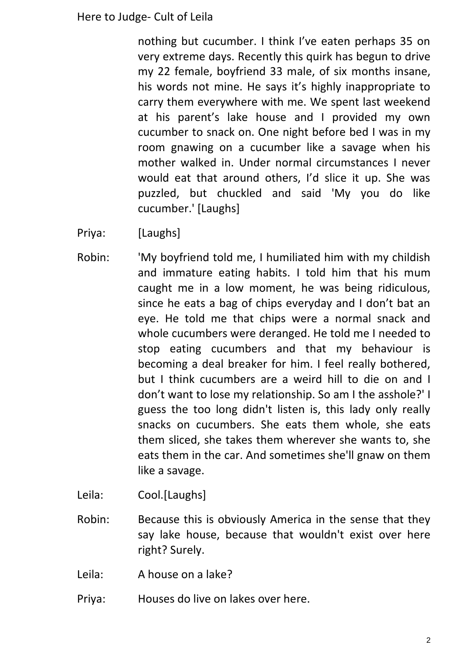nothing but cucumber. I think I've eaten perhaps 35 on very extreme days. Recently this quirk has begun to drive my 22 female, boyfriend 33 male, of six months insane, his words not mine. He says it's highly inappropriate to carry them everywhere with me. We spent last weekend at his parent's lake house and I provided my own cucumber to snack on. One night before bed I was in my room gnawing on a cucumber like a savage when his mother walked in. Under normal circumstances I never would eat that around others, I'd slice it up. She was puzzled, but chuckled and said 'My you do like cucumber.' [Laughs]

- Priya: [Laughs]
- Robin: 'My boyfriend told me, I humiliated him with my childish and immature eating habits. I told him that his mum caught me in a low moment, he was being ridiculous, since he eats a bag of chips everyday and I don't bat an eye. He told me that chips were a normal snack and whole cucumbers were deranged. He told me I needed to stop eating cucumbers and that my behaviour is becoming a deal breaker for him. I feel really bothered, but I think cucumbers are a weird hill to die on and I don't want to lose my relationship. So am I the asshole?' I guess the too long didn't listen is, this lady only really snacks on cucumbers. She eats them whole, she eats them sliced, she takes them wherever she wants to, she eats them in the car. And sometimes she'll gnaw on them like a savage.
- Leila: Cool.[Laughs]
- Robin: Because this is obviously America in the sense that they say lake house, because that wouldn't exist over here right? Surely.
- Leila: A house on a lake?
- Priya: Houses do live on lakes over here.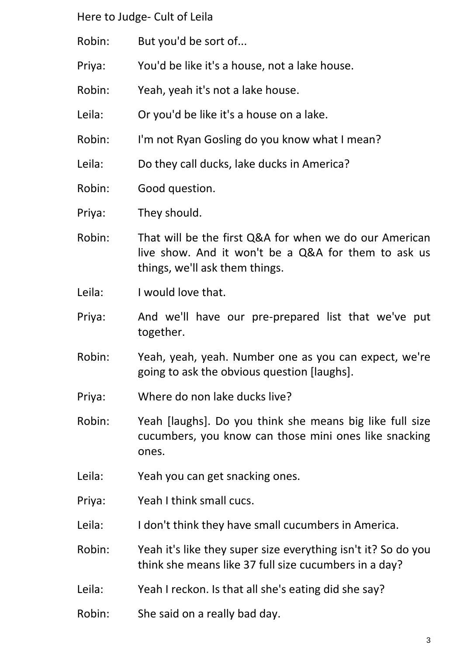- Robin: But you'd be sort of...
- Priya: You'd be like it's a house, not a lake house.
- Robin: Yeah, yeah it's not a lake house.
- Leila: Or you'd be like it's a house on a lake.
- Robin: I'm not Ryan Gosling do you know what I mean?
- Leila: Do they call ducks, lake ducks in America?
- Robin: Good question.
- Priya: They should.
- Robin: That will be the first Q&A for when we do our American live show. And it won't be a Q&A for them to ask us things, we'll ask them things.
- Leila: I would love that.
- Priya: And we'll have our pre-prepared list that we've put together.
- Robin: Yeah, yeah, yeah. Number one as you can expect, we're going to ask the obvious question [laughs].
- Priya: Where do non lake ducks live?
- Robin: Yeah [laughs]. Do you think she means big like full size cucumbers, you know can those mini ones like snacking ones.
- Leila: Yeah you can get snacking ones.
- Priya: Yeah I think small cucs.
- Leila: I don't think they have small cucumbers in America.
- Robin: Yeah it's like they super size everything isn't it? So do you think she means like 37 full size cucumbers in a day?
- Leila: Yeah I reckon. Is that all she's eating did she say?
- Robin: She said on a really bad day.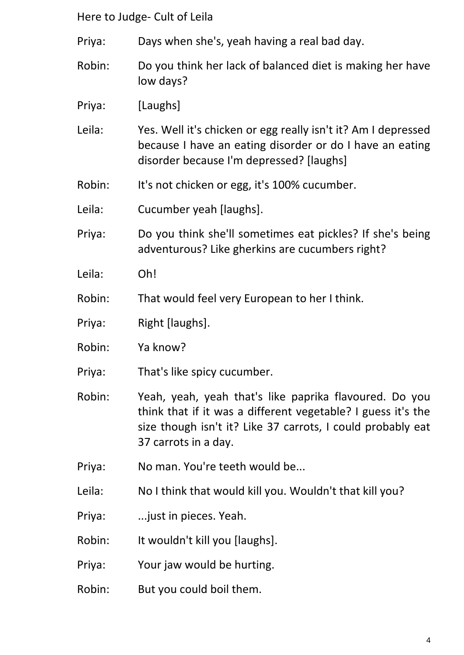- Priya: Days when she's, yeah having a real bad day.
- Robin: Do you think her lack of balanced diet is making her have low days?
- Priya: [Laughs]
- Leila: Yes. Well it's chicken or egg really isn't it? Am I depressed because I have an eating disorder or do I have an eating disorder because I'm depressed? [laughs]
- Robin: It's not chicken or egg, it's 100% cucumber.
- Leila: Cucumber yeah [laughs].
- Priya: Do you think she'll sometimes eat pickles? If she's being adventurous? Like gherkins are cucumbers right?
- Leila: Oh!
- Robin: That would feel very European to her I think.
- Priya: Right [laughs].
- Robin: Ya know?
- Priya: That's like spicy cucumber.
- Robin: Yeah, yeah, yeah that's like paprika flavoured. Do you think that if it was a different vegetable? I guess it's the size though isn't it? Like 37 carrots, I could probably eat 37 carrots in a day.
- Priya: No man. You're teeth would be...
- Leila: No I think that would kill you. Wouldn't that kill you?
- Priya: ...just in pieces. Yeah.
- Robin: It wouldn't kill you [laughs].
- Priya: Your jaw would be hurting.
- Robin: But you could boil them.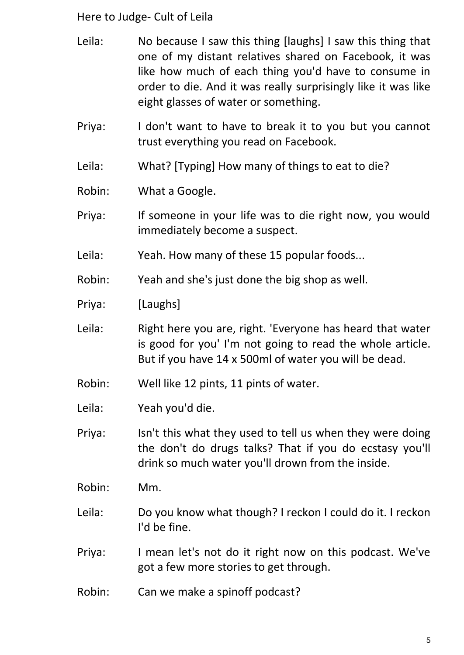- Leila: No because I saw this thing [laughs] I saw this thing that one of my distant relatives shared on Facebook, it was like how much of each thing you'd have to consume in order to die. And it was really surprisingly like it was like eight glasses of water or something.
- Priya: I don't want to have to break it to you but you cannot trust everything you read on Facebook.
- Leila: What? [Typing] How many of things to eat to die?

Robin: What a Google.

- Priya: If someone in your life was to die right now, you would immediately become a suspect.
- Leila: Yeah. How many of these 15 popular foods...
- Robin: Yeah and she's just done the big shop as well.
- Priya: [Laughs]
- Leila: Right here you are, right. 'Everyone has heard that water is good for you' I'm not going to read the whole article. But if you have 14 x 500ml of water you will be dead.
- Robin: Well like 12 pints, 11 pints of water.
- Leila: Yeah you'd die.
- Priya: Isn't this what they used to tell us when they were doing the don't do drugs talks? That if you do ecstasy you'll drink so much water you'll drown from the inside.
- Robin: Mm.
- Leila: Do you know what though? I reckon I could do it. I reckon I'd be fine.
- Priya: I mean let's not do it right now on this podcast. We've got a few more stories to get through.
- Robin: Can we make a spinoff podcast?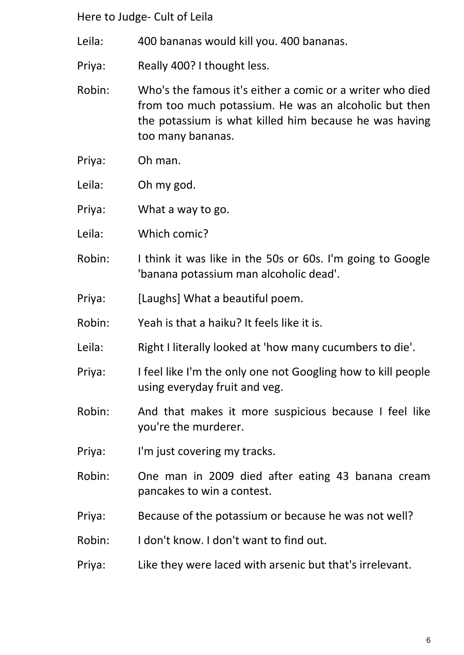- Leila: 400 bananas would kill you. 400 bananas.
- Priya: Really 400? I thought less.
- Robin: Who's the famous it's either a comic or a writer who died from too much potassium. He was an alcoholic but then the potassium is what killed him because he was having too many bananas.
- Priya: Oh man.
- Leila: Oh my god.
- Priya: What a way to go.
- Leila: Which comic?
- Robin: I think it was like in the 50s or 60s. I'm going to Google 'banana potassium man alcoholic dead'.
- Priya: [Laughs] What a beautiful poem.
- Robin: Yeah is that a haiku? It feels like it is.
- Leila: Right I literally looked at 'how many cucumbers to die'.
- Priya: I feel like I'm the only one not Googling how to kill people using everyday fruit and veg.
- Robin: And that makes it more suspicious because I feel like you're the murderer.
- Priya: I'm just covering my tracks.
- Robin: One man in 2009 died after eating 43 banana cream pancakes to win a contest.
- Priya: Because of the potassium or because he was not well?
- Robin: I don't know. I don't want to find out.
- Priya: Like they were laced with arsenic but that's irrelevant.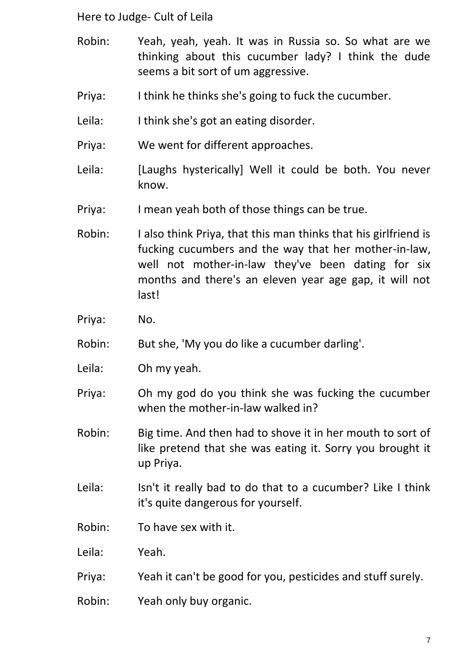- Robin: Yeah, yeah, yeah. It was in Russia so. So what are we thinking about this cucumber lady? I think the dude seems a bit sort of um aggressive.
- Priya: I think he thinks she's going to fuck the cucumber.
- Leila: I think she's got an eating disorder.
- Priya: We went for different approaches.
- Leila: [Laughs hysterically] Well it could be both. You never know.
- Priya: I mean yeah both of those things can be true.
- Robin: I also think Priya, that this man thinks that his girlfriend is fucking cucumbers and the way that her mother-in-law, well not mother-in-law they've been dating for six months and there's an eleven year age gap, it will not last!
- Priya: No.
- Robin: But she, 'My you do like a cucumber darling'.
- Leila: Oh my yeah.
- Priya: Oh my god do you think she was fucking the cucumber when the mother-in-law walked in?
- Robin: Big time. And then had to shove it in her mouth to sort of like pretend that she was eating it. Sorry you brought it up Priya.
- Leila: Isn't it really bad to do that to a cucumber? Like I think it's quite dangerous for yourself.
- Robin: To have sex with it.
- Leila: Yeah.
- Priya: Yeah it can't be good for you, pesticides and stuff surely.
- Robin: Yeah only buy organic.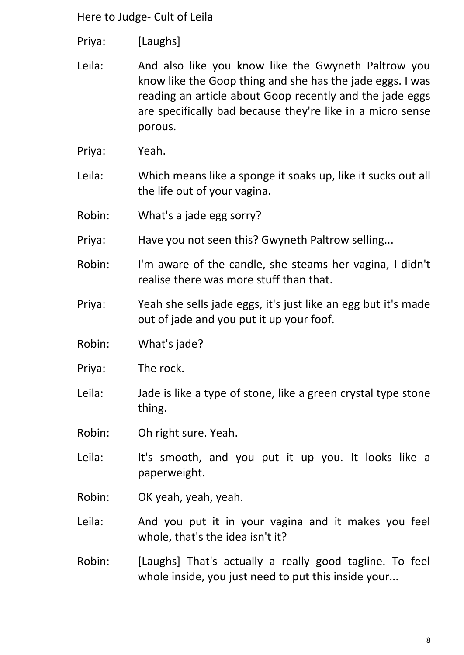- Priya: [Laughs]
- Leila: And also like you know like the Gwyneth Paltrow you know like the Goop thing and she has the jade eggs. I was reading an article about Goop recently and the jade eggs are specifically bad because they're like in a micro sense porous.
- Priya: Yeah.
- Leila: Which means like a sponge it soaks up, like it sucks out all the life out of your vagina.
- Robin: What's a jade egg sorry?
- Priya: Have you not seen this? Gwyneth Paltrow selling...
- Robin: I'm aware of the candle, she steams her vagina, I didn't realise there was more stuff than that.
- Priya: Yeah she sells jade eggs, it's just like an egg but it's made out of jade and you put it up your foof.
- Robin: What's jade?
- Priya: The rock.
- Leila: Jade is like a type of stone, like a green crystal type stone thing.
- Robin: Oh right sure. Yeah.
- Leila: It's smooth, and you put it up you. It looks like a paperweight.
- Robin: OK yeah, yeah, yeah.
- Leila: And you put it in your vagina and it makes you feel whole, that's the idea isn't it?
- Robin: [Laughs] That's actually a really good tagline. To feel whole inside, you just need to put this inside your...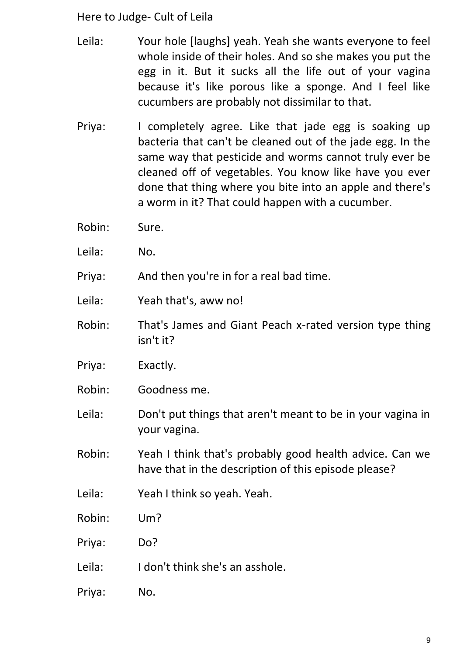- Leila: Your hole [laughs] yeah. Yeah she wants everyone to feel whole inside of their holes. And so she makes you put the egg in it. But it sucks all the life out of your vagina because it's like porous like a sponge. And I feel like cucumbers are probably not dissimilar to that.
- Priya: I completely agree. Like that jade egg is soaking up bacteria that can't be cleaned out of the jade egg. In the same way that pesticide and worms cannot truly ever be cleaned off of vegetables. You know like have you ever done that thing where you bite into an apple and there's a worm in it? That could happen with a cucumber.
- Robin: Sure.
- Leila: No.

Priya: And then you're in for a real bad time.

- Leila: Yeah that's, aww no!
- Robin: That's James and Giant Peach x-rated version type thing isn't it?
- Priya: Exactly.
- Robin: Goodness me.
- Leila: Don't put things that aren't meant to be in your vagina in your vagina.
- Robin: Yeah I think that's probably good health advice. Can we have that in the description of this episode please?
- Leila: Yeah I think so yeah. Yeah.
- Robin: Um?
- Priya: Do?
- Leila: I don't think she's an asshole.
- Priya: No.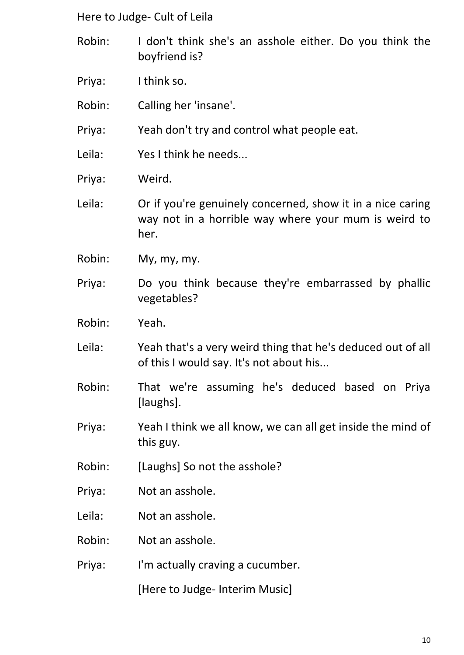- Robin: I don't think she's an asshole either. Do you think the boyfriend is?
- Priya: I think so.
- Robin: Calling her 'insane'.
- Priya: Yeah don't try and control what people eat.
- Leila: Yes I think he needs...
- Priya: Weird.
- Leila: Or if you're genuinely concerned, show it in a nice caring way not in a horrible way where your mum is weird to her.
- Robin: My, my, my.
- Priya: Do you think because they're embarrassed by phallic vegetables?
- Robin: Yeah.
- Leila: Yeah that's a very weird thing that he's deduced out of all of this I would say. It's not about his...
- Robin: That we're assuming he's deduced based on Priya [laughs].
- Priya: Yeah I think we all know, we can all get inside the mind of this guy.
- Robin: [Laughs] So not the asshole?
- Priya: Not an asshole.
- Leila: Not an asshole.
- Robin: Not an asshole.
- Priya: I'm actually craving a cucumber.

[Here to Judge- Interim Music]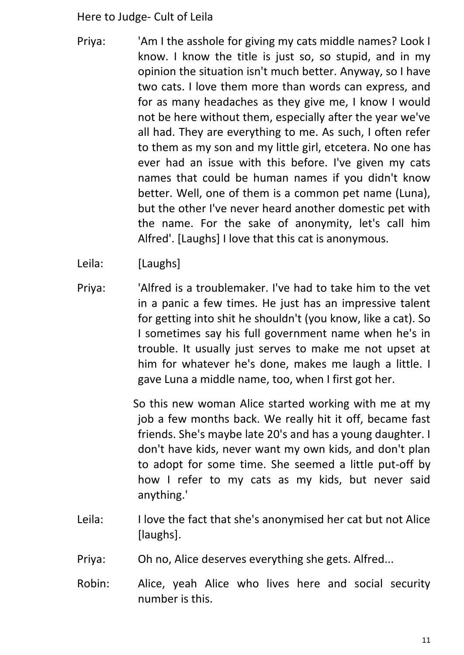- Priya: 'Am I the asshole for giving my cats middle names? Look I know. I know the title is just so, so stupid, and in my opinion the situation isn't much better. Anyway, so I have two cats. I love them more than words can express, and for as many headaches as they give me, I know I would not be here without them, especially after the year we've all had. They are everything to me. As such, I often refer to them as my son and my little girl, etcetera. No one has ever had an issue with this before. I've given my cats names that could be human names if you didn't know better. Well, one of them is a common pet name (Luna), but the other I've never heard another domestic pet with the name. For the sake of anonymity, let's call him Alfred'. [Laughs] I love that this cat is anonymous.
- Leila: [Laughs]
- Priya: 'Alfred is a troublemaker. I've had to take him to the vet in a panic a few times. He just has an impressive talent for getting into shit he shouldn't (you know, like a cat). So I sometimes say his full government name when he's in trouble. It usually just serves to make me not upset at him for whatever he's done, makes me laugh a little. I gave Luna a middle name, too, when I first got her.

So this new woman Alice started working with me at my job a few months back. We really hit it off, became fast friends. She's maybe late 20's and has a young daughter. I don't have kids, never want my own kids, and don't plan to adopt for some time. She seemed a little put-off by how I refer to my cats as my kids, but never said anything.'

- Leila: I love the fact that she's anonymised her cat but not Alice [laughs].
- Priya: Oh no, Alice deserves everything she gets. Alfred...
- Robin: Alice, yeah Alice who lives here and social security number is this.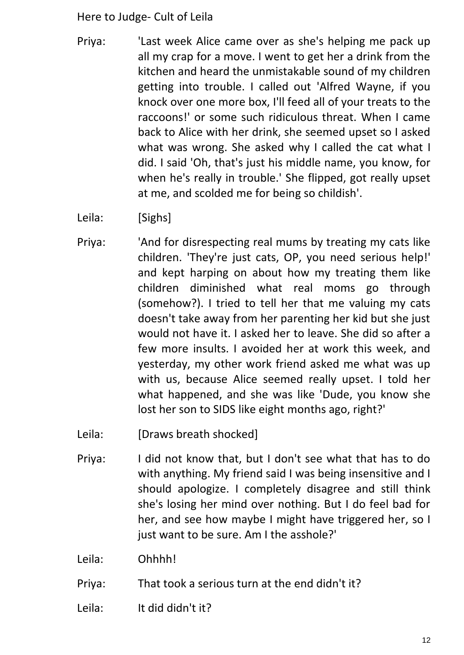- Priya: 'Last week Alice came over as she's helping me pack up all my crap for a move. I went to get her a drink from the kitchen and heard the unmistakable sound of my children getting into trouble. I called out 'Alfred Wayne, if you knock over one more box, I'll feed all of your treats to the raccoons!' or some such ridiculous threat. When I came back to Alice with her drink, she seemed upset so I asked what was wrong. She asked why I called the cat what I did. I said 'Oh, that's just his middle name, you know, for when he's really in trouble.' She flipped, got really upset at me, and scolded me for being so childish'.
- Leila: [Sighs]
- Priya: 'And for disrespecting real mums by treating my cats like children. 'They're just cats, OP, you need serious help!' and kept harping on about how my treating them like children diminished what real moms go through (somehow?). I tried to tell her that me valuing my cats doesn't take away from her parenting her kid but she just would not have it. I asked her to leave. She did so after a few more insults. I avoided her at work this week, and yesterday, my other work friend asked me what was up with us, because Alice seemed really upset. I told her what happened, and she was like 'Dude, you know she lost her son to SIDS like eight months ago, right?'
- Leila: [Draws breath shocked]
- Priya: I did not know that, but I don't see what that has to do with anything. My friend said I was being insensitive and I should apologize. I completely disagree and still think she's losing her mind over nothing. But I do feel bad for her, and see how maybe I might have triggered her, so I just want to be sure. Am I the asshole?'
- Leila: Ohhhh!
- Priya: That took a serious turn at the end didn't it?
- Leila: It did didn't it?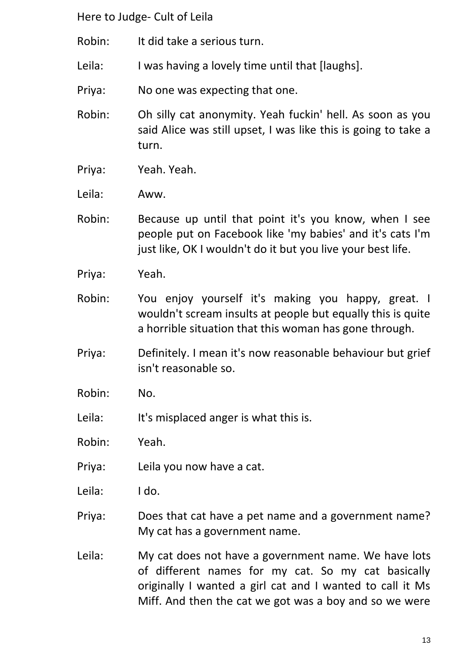- Robin: It did take a serious turn.
- Leila: I was having a lovely time until that [laughs].
- Priya: No one was expecting that one.
- Robin: Oh silly cat anonymity. Yeah fuckin' hell. As soon as you said Alice was still upset, I was like this is going to take a turn.
- Priya: Yeah. Yeah.
- Leila: Aww.
- Robin: Because up until that point it's you know, when I see people put on Facebook like 'my babies' and it's cats I'm just like, OK I wouldn't do it but you live your best life.
- Priya: Yeah.
- Robin: You enjoy yourself it's making you happy, great. I wouldn't scream insults at people but equally this is quite a horrible situation that this woman has gone through.
- Priya: Definitely. I mean it's now reasonable behaviour but grief isn't reasonable so.
- Robin: No.
- Leila: It's misplaced anger is what this is.
- Robin: Yeah.
- Priya: Leila you now have a cat.
- Leila: I do.
- Priya: Does that cat have a pet name and a government name? My cat has a government name.
- Leila: My cat does not have a government name. We have lots of different names for my cat. So my cat basically originally I wanted a girl cat and I wanted to call it Ms Miff. And then the cat we got was a boy and so we were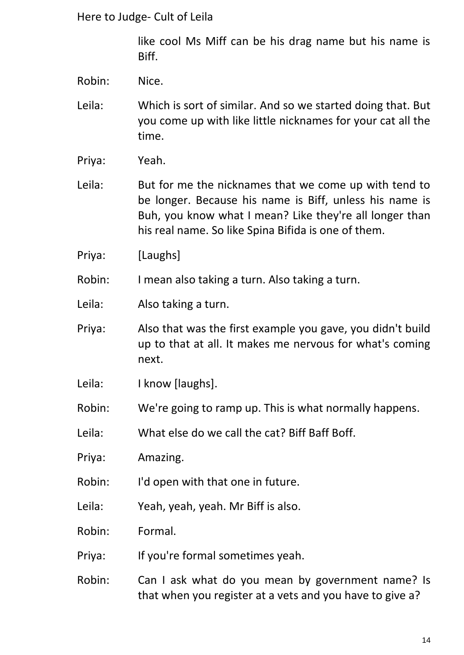like cool Ms Miff can be his drag name but his name is Biff.

- Robin: Nice.
- Leila: Which is sort of similar. And so we started doing that. But you come up with like little nicknames for your cat all the time.
- Priya: Yeah.
- Leila: But for me the nicknames that we come up with tend to be longer. Because his name is Biff, unless his name is Buh, you know what I mean? Like they're all longer than his real name. So like Spina Bifida is one of them.
- Priya: [Laughs]

Robin: I mean also taking a turn. Also taking a turn.

- Leila: Also taking a turn.
- Priya: Also that was the first example you gave, you didn't build up to that at all. It makes me nervous for what's coming next.
- Leila: I know [laughs].
- Robin: We're going to ramp up. This is what normally happens.
- Leila: What else do we call the cat? Biff Baff Boff.
- Priya: Amazing.
- Robin: I'd open with that one in future.
- Leila: Yeah, yeah, yeah. Mr Biff is also.
- Robin: Formal.
- Priya: If you're formal sometimes yeah.
- Robin: Can I ask what do you mean by government name? Is that when you register at a vets and you have to give a?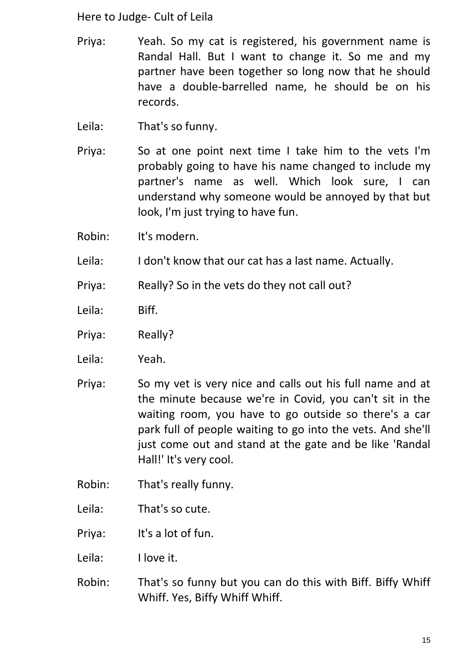- Priya: Yeah. So my cat is registered, his government name is Randal Hall. But I want to change it. So me and my partner have been together so long now that he should have a double-barrelled name, he should be on his records.
- Leila: That's so funny.
- Priya: So at one point next time I take him to the vets I'm probably going to have his name changed to include my partner's name as well. Which look sure, I can understand why someone would be annoyed by that but look, I'm just trying to have fun.
- Robin: It's modern.
- Leila: I don't know that our cat has a last name. Actually.
- Priya: Really? So in the vets do they not call out?
- Leila: Biff.
- Priya: Really?
- Leila: Yeah.
- Priya: So my vet is very nice and calls out his full name and at the minute because we're in Covid, you can't sit in the waiting room, you have to go outside so there's a car park full of people waiting to go into the vets. And she'll just come out and stand at the gate and be like 'Randal Hall!' It's very cool.
- Robin: That's really funny.
- Leila: That's so cute.

Priya: It's a lot of fun.

Leila: I love it.

Robin: That's so funny but you can do this with Biff. Biffy Whiff Whiff. Yes, Biffy Whiff Whiff.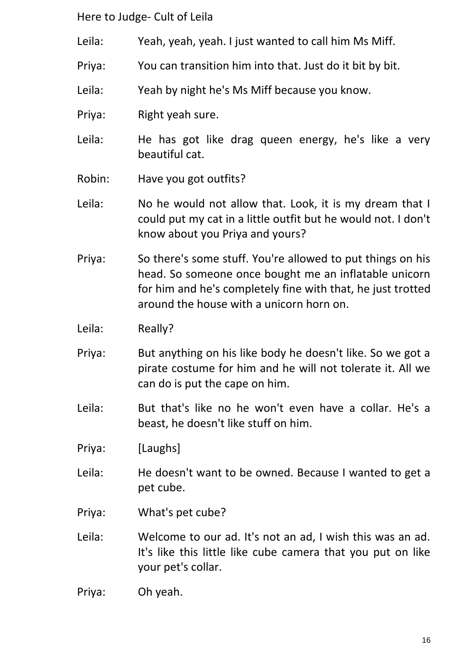- Leila: Yeah, yeah, yeah. I just wanted to call him Ms Miff.
- Priya: You can transition him into that. Just do it bit by bit.
- Leila: Yeah by night he's Ms Miff because you know.
- Priva: Right yeah sure.
- Leila: He has got like drag queen energy, he's like a very beautiful cat.
- Robin: Have you got outfits?
- Leila: No he would not allow that. Look, it is my dream that I could put my cat in a little outfit but he would not. I don't know about you Priya and yours?
- Priya: So there's some stuff. You're allowed to put things on his head. So someone once bought me an inflatable unicorn for him and he's completely fine with that, he just trotted around the house with a unicorn horn on.
- Leila: Really?
- Priya: But anything on his like body he doesn't like. So we got a pirate costume for him and he will not tolerate it. All we can do is put the cape on him.
- Leila: But that's like no he won't even have a collar. He's a beast, he doesn't like stuff on him.
- Priya: [Laughs]
- Leila: He doesn't want to be owned. Because I wanted to get a pet cube.
- Priya: What's pet cube?
- Leila: Welcome to our ad. It's not an ad, I wish this was an ad. It's like this little like cube camera that you put on like your pet's collar.
- Priya: Oh yeah.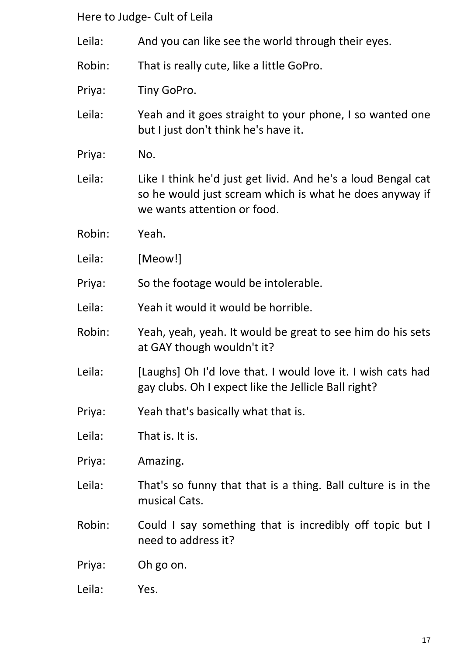Leila: And you can like see the world through their eyes.

Robin: That is really cute, like a little GoPro.

Priya: Tiny GoPro.

- Leila: Yeah and it goes straight to your phone, I so wanted one but I just don't think he's have it.
- Priya: No.
- Leila: Like I think he'd just get livid. And he's a loud Bengal cat so he would just scream which is what he does anyway if we wants attention or food.
- Robin: Yeah.
- Leila: [Meow!]

Priya: So the footage would be intolerable.

Leila: Yeah it would it would be horrible.

- Robin: Yeah, yeah, yeah. It would be great to see him do his sets at GAY though wouldn't it?
- Leila: [Laughs] Oh I'd love that. I would love it. I wish cats had gay clubs. Oh I expect like the Jellicle Ball right?
- Priya: Yeah that's basically what that is.
- Leila: That is. It is.
- Priya: Amazing.
- Leila: That's so funny that that is a thing. Ball culture is in the musical Cats.
- Robin: Could I say something that is incredibly off topic but I need to address it?
- Priya: Oh go on.
- Leila: Yes.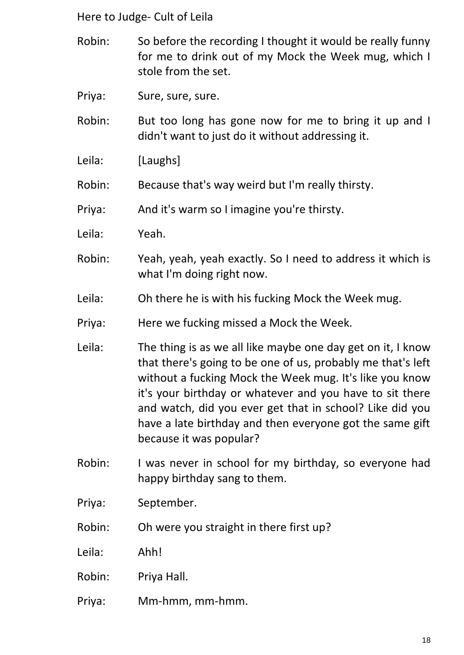- Robin: So before the recording I thought it would be really funny for me to drink out of my Mock the Week mug, which I stole from the set.
- Priya: Sure, sure, sure.
- Robin: But too long has gone now for me to bring it up and I didn't want to just do it without addressing it.
- Leila: [Laughs]
- Robin: Because that's way weird but I'm really thirsty.
- Priya: And it's warm so I imagine you're thirsty.
- Leila: Yeah.
- Robin: Yeah, yeah, yeah exactly. So I need to address it which is what I'm doing right now.
- Leila: Oh there he is with his fucking Mock the Week mug.
- Priya: Here we fucking missed a Mock the Week.
- Leila: The thing is as we all like maybe one day get on it, I know that there's going to be one of us, probably me that's left without a fucking Mock the Week mug. It's like you know it's your birthday or whatever and you have to sit there and watch, did you ever get that in school? Like did you have a late birthday and then everyone got the same gift because it was popular?
- Robin: I was never in school for my birthday, so everyone had happy birthday sang to them.
- Priya: September.
- Robin: Oh were you straight in there first up?
- Leila: Ahh!
- Robin: Priya Hall.
- Priya: Mm-hmm, mm-hmm.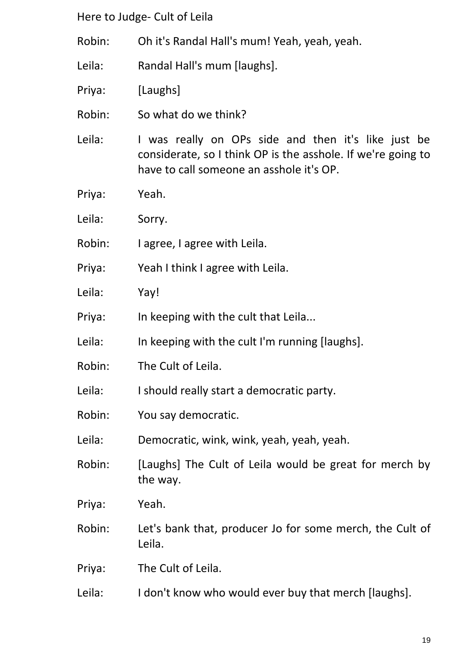- Robin: Oh it's Randal Hall's mum! Yeah, yeah, yeah.
- Leila: Randal Hall's mum [laughs].
- Priya: [Laughs]
- Robin: So what do we think?
- Leila: I was really on OPs side and then it's like just be considerate, so I think OP is the asshole. If we're going to have to call someone an asshole it's OP.
- Priya: Yeah.
- Leila: Sorry.
- Robin: I agree, I agree with Leila.
- Priya: Yeah I think I agree with Leila.
- Leila: Yay!
- Priya: In keeping with the cult that Leila...
- Leila: In keeping with the cult I'm running [laughs].
- Robin: The Cult of Leila.
- Leila: I should really start a democratic party.
- Robin: You say democratic.
- Leila: Democratic, wink, wink, yeah, yeah, yeah.
- Robin: [Laughs] The Cult of Leila would be great for merch by the way.
- Priya: Yeah.
- Robin: Let's bank that, producer Jo for some merch, the Cult of Leila.
- Priya: The Cult of Leila.
- Leila: I don't know who would ever buy that merch [laughs].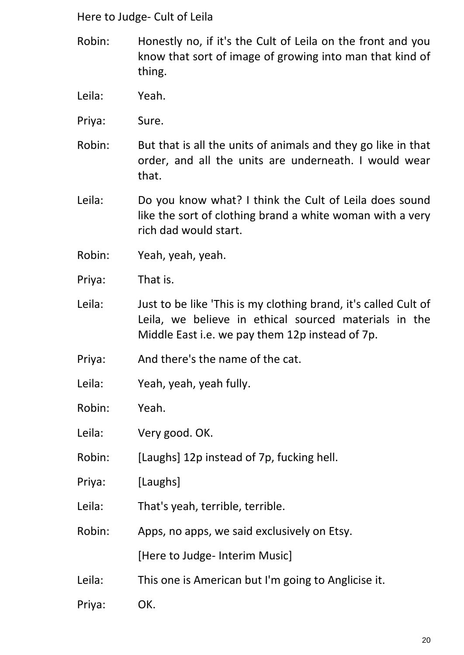- Robin: Honestly no, if it's the Cult of Leila on the front and you know that sort of image of growing into man that kind of thing.
- Leila: Yeah.
- Priya: Sure.
- Robin: But that is all the units of animals and they go like in that order, and all the units are underneath. I would wear that.
- Leila: Do you know what? I think the Cult of Leila does sound like the sort of clothing brand a white woman with a very rich dad would start.
- Robin: Yeah, yeah, yeah.
- Priya: That is.
- Leila: Just to be like 'This is my clothing brand, it's called Cult of Leila, we believe in ethical sourced materials in the Middle East i.e. we pay them 12p instead of 7p.
- Priya: And there's the name of the cat.
- Leila: Yeah, yeah, yeah fully.
- Robin: Yeah.
- Leila: Very good. OK.
- Robin: [Laughs] 12p instead of 7p, fucking hell.
- Priya: [Laughs]
- Leila: That's yeah, terrible, terrible.
- Robin: Apps, no apps, we said exclusively on Etsy.

[Here to Judge- Interim Music]

- Leila: This one is American but I'm going to Anglicise it.
- Priya: OK.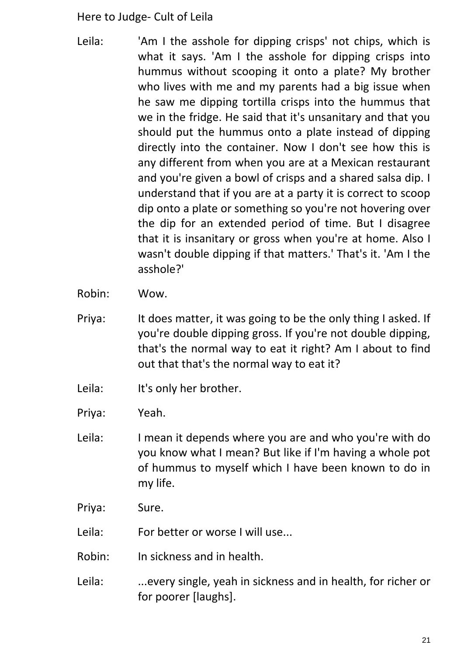- Leila: 'Am I the asshole for dipping crisps' not chips, which is what it says. 'Am I the asshole for dipping crisps into hummus without scooping it onto a plate? My brother who lives with me and my parents had a big issue when he saw me dipping tortilla crisps into the hummus that we in the fridge. He said that it's unsanitary and that you should put the hummus onto a plate instead of dipping directly into the container. Now I don't see how this is any different from when you are at a Mexican restaurant and you're given a bowl of crisps and a shared salsa dip. I understand that if you are at a party it is correct to scoop dip onto a plate or something so you're not hovering over the dip for an extended period of time. But I disagree that it is insanitary or gross when you're at home. Also I wasn't double dipping if that matters.' That's it. 'Am I the asshole?'
- Robin: Wow.
- Priya: It does matter, it was going to be the only thing I asked. If you're double dipping gross. If you're not double dipping, that's the normal way to eat it right? Am I about to find out that that's the normal way to eat it?
- Leila: It's only her brother.
- Priya: Yeah.
- Leila: I mean it depends where you are and who you're with do you know what I mean? But like if I'm having a whole pot of hummus to myself which I have been known to do in my life.
- Priya: Sure.
- Leila: For better or worse I will use...
- Robin: In sickness and in health.
- Leila: ...every single, yeah in sickness and in health, for richer or for poorer [laughs].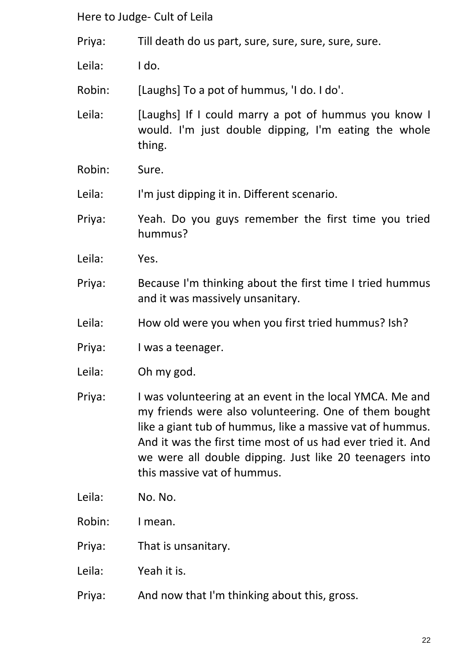Priya: Till death do us part, sure, sure, sure, sure, sure.

Leila: I do.

Robin: [Laughs] To a pot of hummus, 'I do. I do'.

Leila: [Laughs] If I could marry a pot of hummus you know I would. I'm just double dipping, I'm eating the whole thing.

Robin: Sure.

Leila: I'm just dipping it in. Different scenario.

Priya: Yeah. Do you guys remember the first time you tried hummus?

- Leila: Yes.
- Priya: Because I'm thinking about the first time I tried hummus and it was massively unsanitary.
- Leila: How old were you when you first tried hummus? Ish?
- Priya: I was a teenager.
- Leila: Oh my god.

Priya: I was volunteering at an event in the local YMCA. Me and my friends were also volunteering. One of them bought like a giant tub of hummus, like a massive vat of hummus. And it was the first time most of us had ever tried it. And we were all double dipping. Just like 20 teenagers into this massive vat of hummus.

- Leila: No. No.
- Robin: I mean.
- Priya: That is unsanitary.
- Leila: Yeah it is.
- Priya: And now that I'm thinking about this, gross.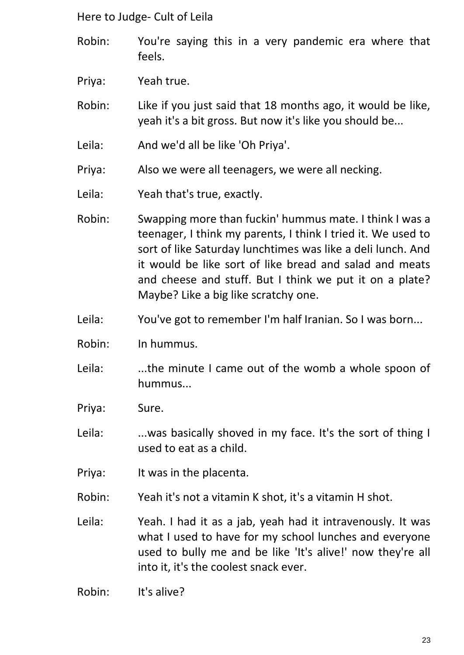- Robin: You're saying this in a very pandemic era where that feels.
- Priya: Yeah true.
- Robin: Like if you just said that 18 months ago, it would be like, yeah it's a bit gross. But now it's like you should be...
- Leila: And we'd all be like 'Oh Priya'.
- Priya: Also we were all teenagers, we were all necking.
- Leila: Yeah that's true, exactly.
- Robin: Swapping more than fuckin' hummus mate. I think I was a teenager, I think my parents, I think I tried it. We used to sort of like Saturday lunchtimes was like a deli lunch. And it would be like sort of like bread and salad and meats and cheese and stuff. But I think we put it on a plate? Maybe? Like a big like scratchy one.
- Leila: You've got to remember I'm half Iranian. So I was born...
- Robin: In hummus.
- Leila: ...the minute I came out of the womb a whole spoon of hummus...
- Priya: Sure.
- Leila: ...was basically shoved in my face. It's the sort of thing I used to eat as a child.
- Priya: It was in the placenta.
- Robin: Yeah it's not a vitamin K shot, it's a vitamin H shot.
- Leila: Yeah. I had it as a jab, yeah had it intravenously. It was what I used to have for my school lunches and everyone used to bully me and be like 'It's alive!' now they're all into it, it's the coolest snack ever.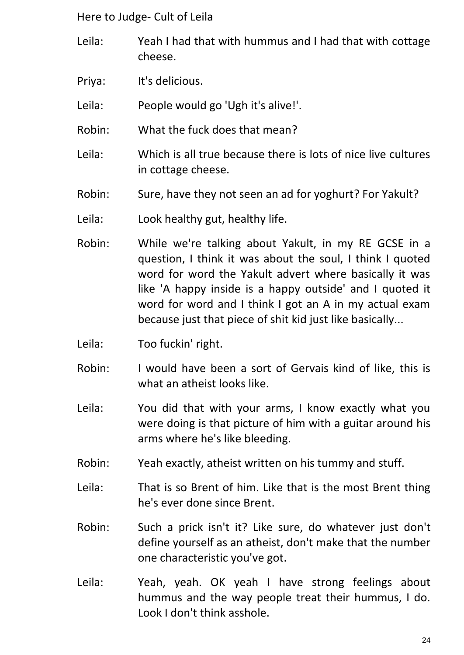- Leila: Yeah I had that with hummus and I had that with cottage cheese.
- Priya: It's delicious.

Leila: People would go 'Ugh it's alive!'.

- Robin: What the fuck does that mean?
- Leila: Which is all true because there is lots of nice live cultures in cottage cheese.
- Robin: Sure, have they not seen an ad for yoghurt? For Yakult?
- Leila: Look healthy gut, healthy life.
- Robin: While we're talking about Yakult, in my RE GCSE in a question, I think it was about the soul, I think I quoted word for word the Yakult advert where basically it was like 'A happy inside is a happy outside' and I quoted it word for word and I think I got an A in my actual exam because just that piece of shit kid just like basically...
- Leila: Too fuckin' right.
- Robin: I would have been a sort of Gervais kind of like, this is what an atheist looks like.
- Leila: You did that with your arms, I know exactly what you were doing is that picture of him with a guitar around his arms where he's like bleeding.
- Robin: Yeah exactly, atheist written on his tummy and stuff.
- Leila: That is so Brent of him. Like that is the most Brent thing he's ever done since Brent.
- Robin: Such a prick isn't it? Like sure, do whatever just don't define yourself as an atheist, don't make that the number one characteristic you've got.
- Leila: Yeah, yeah. OK yeah I have strong feelings about hummus and the way people treat their hummus, I do. Look I don't think asshole.